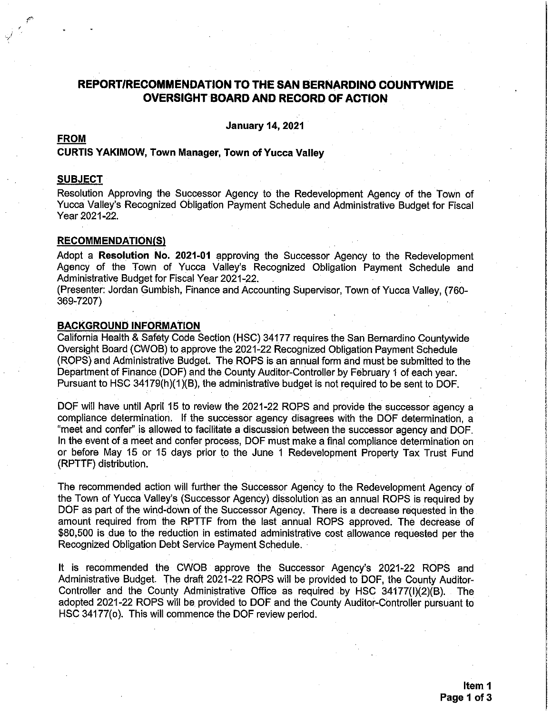# REPORT/RECOMMENDATION TO THE SAN BERNARDINO COUNTYWIDE **OVERSIGHT BOARD AND RECORD OF ACTION**

**January 14, 2021** 

# **FROM**

#### **CURTIS YAKIMOW, Town Manager, Town of Yucca Valley**

## **SUBJECT**

Resolution Approving the Successor Agency to the Redevelopment Agency of the Town of Yucca Valley's Recognized Obligation Payment Schedule and Administrative Budget for Fiscal Year 2021-22.

#### **RECOMMENDATION(S)**

Adopt a Resolution No. 2021-01 approving the Successor Agency to the Redevelopment Agency of the Town of Yucca Valley's Recognized Obligation Payment Schedule and Administrative Budget for Fiscal Year 2021-22.

(Presenter: Jordan Gumbish, Finance and Accounting Supervisor, Town of Yucca Valley, (760-369-7207)

#### **BACKGROUND INFORMATION**

California Health & Safety Code Section (HSC) 34177 requires the San Bernardino Countywide Oversight Board (CWOB) to approve the 2021-22 Recognized Obligation Payment Schedule (ROPS) and Administrative Budget. The ROPS is an annual form and must be submitted to the Department of Finance (DOF) and the County Auditor-Controller by February 1 of each year. Pursuant to HSC 34179(h)(1)(B), the administrative budget is not required to be sent to DOF.

DOF will have until April 15 to review the 2021-22 ROPS and provide the successor agency a compliance determination. If the successor agency disagrees with the DOF determination, a "meet and confer" is allowed to facilitate a discussion between the successor agency and DOF. In the event of a meet and confer process, DOF must make a final compliance determination on or before May 15 or 15 days prior to the June 1 Redevelopment Property Tax Trust Fund (RPTTF) distribution.

The recommended action will further the Successor Agency to the Redevelopment Agency of the Town of Yucca Valley's (Successor Agency) dissolution as an annual ROPS is required by DOF as part of the wind-down of the Successor Agency. There is a decrease requested in the amount required from the RPTTF from the last annual ROPS approved. The decrease of \$80,500 is due to the reduction in estimated administrative cost allowance requested per the Recognized Obligation Debt Service Payment Schedule.

It is recommended the CWOB approve the Successor Agency's 2021-22 ROPS and Administrative Budget. The draft 2021-22 ROPS will be provided to DOF, the County Auditor-Controller and the County Administrative Office as required by HSC 34177(I)(2)(B). The adopted 2021-22 ROPS will be provided to DOF and the County Auditor-Controller pursuant to HSC 34177(o). This will commence the DOF review period.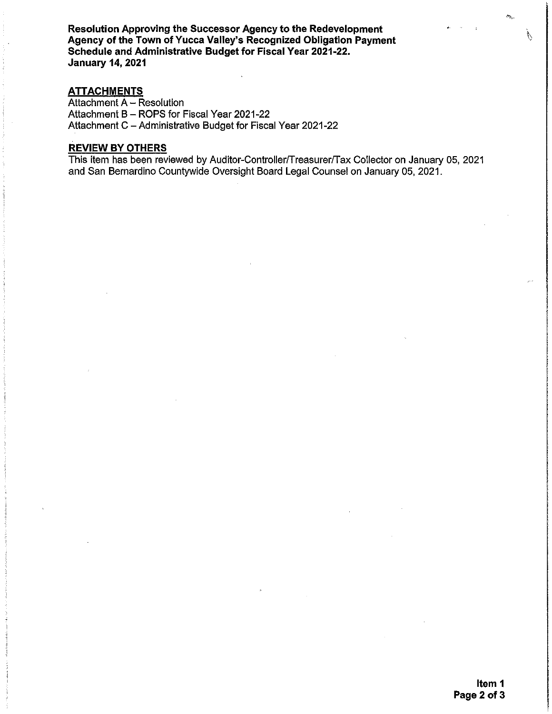Resolution Approving the Successor Agency to the Redevelopment Agency of the Town of Yucca Valley's Recognized Obligation Payment Schedule and Administrative Budget for Fiscal Year 2021-22. **January 14, 2021** 

#### **ATTACHMENTS**

Attachment A - Resolution Attachment B - ROPS for Fiscal Year 2021-22 Attachment C - Administrative Budget for Fiscal Year 2021-22

#### **REVIEW BY OTHERS**

This item has been reviewed by Auditor-Controller/Treasurer/Tax Collector on January 05, 2021 and San Bernardino Countywide Oversight Board Legal Counsel on January 05, 2021.

 $\sigma_{\rm th}$ 

 $\mathcal{L}_{\mathcal{F}}$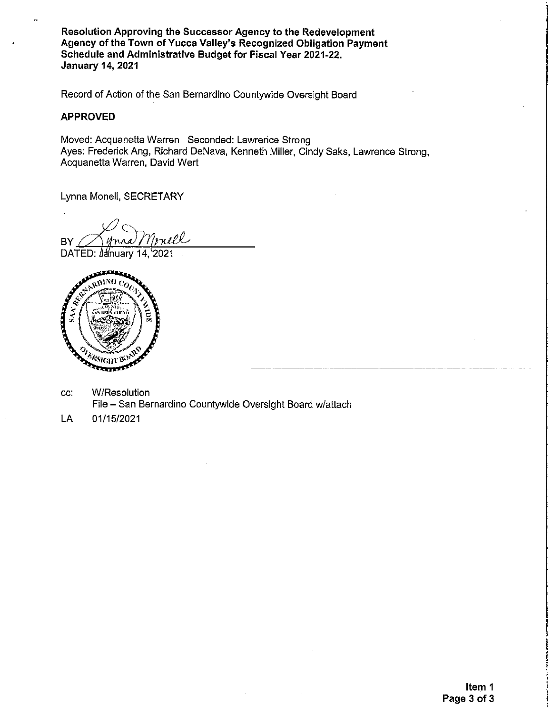Resolution Approving the Successor Agency to the Redevelopment Agency of the Town of Yucca Valley's Recognized Obligation Payment Schedule and Administrative Budget for Fiscal Year 2021-22. **January 14, 2021** 

Record of Action of the San Bernardino Countywide Oversight Board

### **APPROVED**

Moved: Acquanetta Warren Seconded: Lawrence Strong Ayes: Frederick Ang, Richard DeNava, Kenneth Miller, Cindy Saks, Lawrence Strong, Acquanetta Warren, David Wert

Lynna Monell, SECRETARY

rnell **BY** 

DATED: January 14, 2021



- W/Resolution CC: File - San Bernardino Countywide Oversight Board w/attach
- 01/15/2021 LA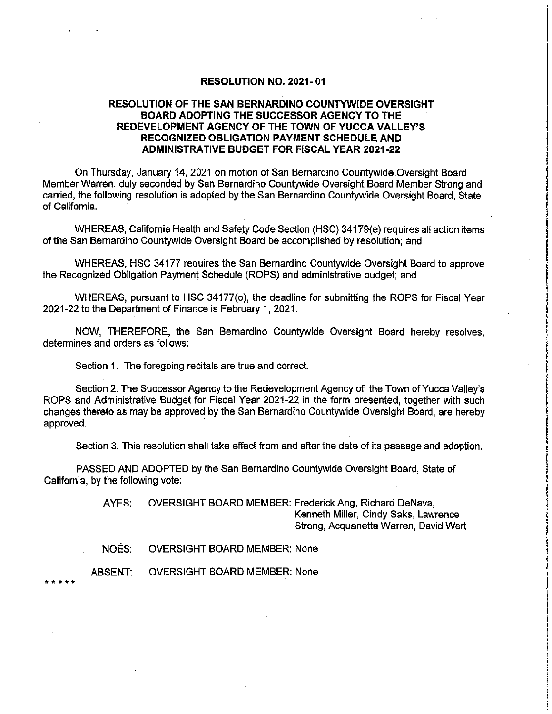#### **RESOLUTION NO. 2021-01**

### **RESOLUTION OF THE SAN BERNARDINO COUNTYWIDE OVERSIGHT BOARD ADOPTING THE SUCCESSOR AGENCY TO THE** REDEVELOPMENT AGENCY OF THE TOWN OF YUCCA VALLEY'S **RECOGNIZED OBLIGATION PAYMENT SCHEDULE AND ADMINISTRATIVE BUDGET FOR FISCAL YEAR 2021-22**

On Thursday, January 14, 2021 on motion of San Bernardino Countywide Oversight Board Member Warren, duly seconded by San Bernardino Countywide Oversight Board Member Strong and carried, the following resolution is adopted by the San Bernardino Countywide Oversight Board, State of California.

WHEREAS, California Health and Safety Code Section (HSC) 34179(e) requires all action items of the San Bernardino Countywide Oversight Board be accomplished by resolution; and

WHEREAS, HSC 34177 requires the San Bernardino Countywide Oversight Board to approve the Recognized Obligation Payment Schedule (ROPS) and administrative budget; and

WHEREAS, pursuant to HSC 34177(o), the deadline for submitting the ROPS for Fiscal Year 2021-22 to the Department of Finance is February 1, 2021.

NOW, THEREFORE, the San Bernardino Countywide Oversight Board hereby resolves, determines and orders as follows:

Section 1. The foregoing recitals are true and correct.

Section 2. The Successor Agency to the Redevelopment Agency of the Town of Yucca Valley's ROPS and Administrative Budget for Fiscal Year 2021-22 in the form presented, together with such changes thereto as may be approved by the San Bernardino Countywide Oversight Board, are hereby approved.

Section 3. This resolution shall take effect from and after the date of its passage and adoption.

PASSED AND ADOPTED by the San Bernardino Countywide Oversight Board, State of California, by the following vote:

> OVERSIGHT BOARD MEMBER: Frederick Ang, Richard DeNava, AYES: Kenneth Miller, Cindy Saks, Lawrence Strong, Acquanetta Warren, David Wert

NOES: **OVERSIGHT BOARD MEMBER: None** 

ABSENT: **OVERSIGHT BOARD MEMBER: None**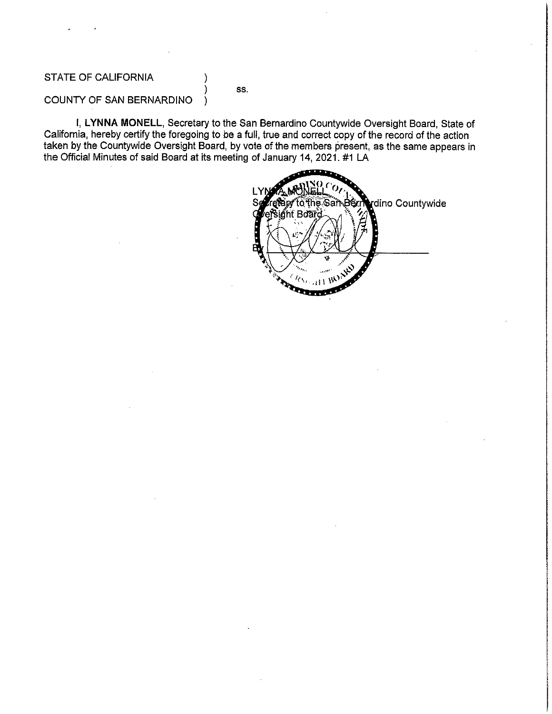# STATE OF CALIFORNIA

# SS.

#### COUNTY OF SAN BERNARDINO  $\lambda$

I, LYNNA MONELL, Secretary to the San Bernardino Countywide Oversight Board, State of California, hereby certify the foregoing to be a full, true and correct copy of the record of the action taken by the Countywide Oversight Board, by vote of the members present, as the same appears in the Official Minutes of said Board at its meeting of January 14, 2021. #1 LA

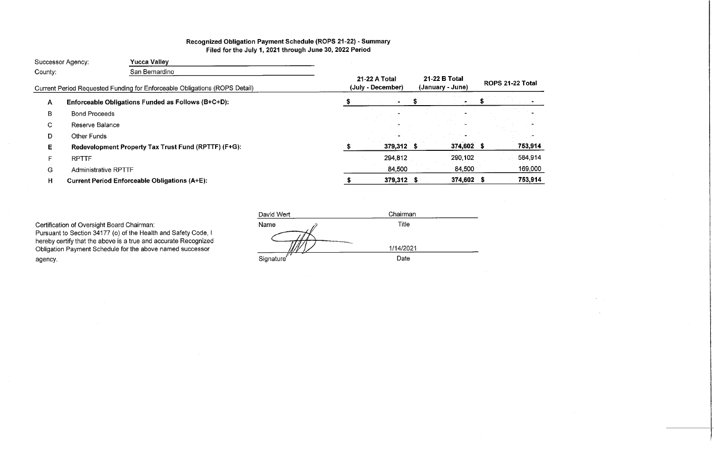# Recognized Obligation Payment Schedule (ROPS 21-22) - Summary Filed for the July 1, 2021 through June 30, 2022 Period

| San Bernardino<br>County:<br>21-22 B Total<br>21-22 A Total<br>(July - December)<br>(January - June)<br>Current Period Requested Funding for Enforceable Obligations (ROPS Detail)<br>Enforceable Obligations Funded as Follows (B+C+D):<br>A<br><b>Bond Proceeds</b><br>B<br>C.<br>Reserve Balance<br><b>Other Funds</b><br>D<br>374,602 \$<br>379,312 \$<br>Redevelopment Property Tax Trust Fund (RPTTF) (F+G):<br>E.<br>290,102<br>294,812<br>F.<br><b>RPTTF</b> |              |
|----------------------------------------------------------------------------------------------------------------------------------------------------------------------------------------------------------------------------------------------------------------------------------------------------------------------------------------------------------------------------------------------------------------------------------------------------------------------|--------------|
|                                                                                                                                                                                                                                                                                                                                                                                                                                                                      |              |
|                                                                                                                                                                                                                                                                                                                                                                                                                                                                      | ROPS 21-22 1 |
|                                                                                                                                                                                                                                                                                                                                                                                                                                                                      |              |
|                                                                                                                                                                                                                                                                                                                                                                                                                                                                      |              |
|                                                                                                                                                                                                                                                                                                                                                                                                                                                                      |              |
|                                                                                                                                                                                                                                                                                                                                                                                                                                                                      |              |
|                                                                                                                                                                                                                                                                                                                                                                                                                                                                      | 75           |
|                                                                                                                                                                                                                                                                                                                                                                                                                                                                      | 58           |
| 84,500<br>84,500<br>G<br><b>Administrative RPTTF</b>                                                                                                                                                                                                                                                                                                                                                                                                                 | 16           |
| 374,602 \$<br>379,312 \$<br>H<br><b>Current Period Enforceable Obligations (A+E):</b>                                                                                                                                                                                                                                                                                                                                                                                | 75           |

Certification of Oversight Board Chairman:

Pursuant to Section 34177 (o) of the Health and Safety Code, I<br>hereby certify that the above is a true and accurate Recognized Obligation Payment Schedule for the above named successor agency.

David Wert Chairman Name Title 1/14/2021 Date Signature<sup>®</sup>

| ۹<br>۰, |
|---------|
|---------|

| 3,914 |
|-------|
| 4,914 |
| 9,000 |
|       |

53,914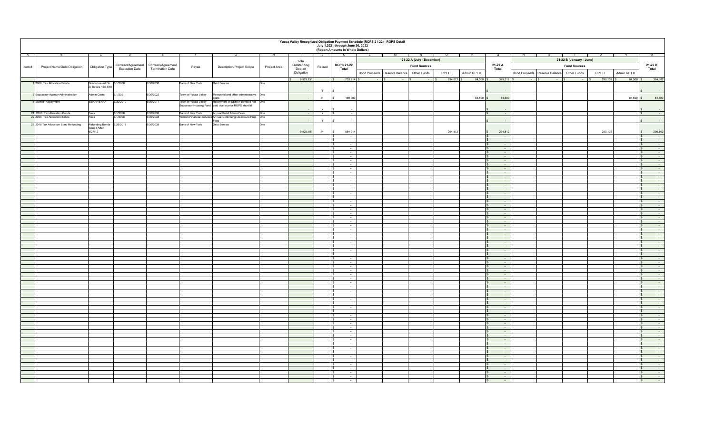|       | Yucca Valley Recognized Obligation Payment Schedule (ROPS 21-22) - ROPS Detail<br>July 1,2021 through June 30, 2022<br>(Report Amounts in Whole Dollars) |                           |                       |                                       |                      |                                                                                               |              |                            |              |                                                     |                                           |                           |                          |             |                                  |           |                                           |                      |                                                                    |
|-------|----------------------------------------------------------------------------------------------------------------------------------------------------------|---------------------------|-----------------------|---------------------------------------|----------------------|-----------------------------------------------------------------------------------------------|--------------|----------------------------|--------------|-----------------------------------------------------|-------------------------------------------|---------------------------|--------------------------|-------------|----------------------------------|-----------|-------------------------------------------|----------------------|--------------------------------------------------------------------|
| A.    |                                                                                                                                                          |                           |                       |                                       |                      |                                                                                               |              |                            | $\mathsf{J}$ | K                                                   | M                                         | N<br>$\mathbf{I}$         | $\overline{\phantom{a}}$ |             | Q                                |           | . T.                                      |                      |                                                                    |
|       |                                                                                                                                                          |                           |                       |                                       |                      |                                                                                               |              | Total                      |              |                                                     |                                           | 21-22 A (July - December) |                          |             |                                  |           | 21-22 B (January - June)                  |                      |                                                                    |
| Item# | Project Name/Debt Obligation                                                                                                                             |                           |                       | Contract/Agreement Contract/Agreement |                      | Description/Project Scope                                                                     | Project Area | Outstanding                | Retired      | <b>ROPS 21-22</b>                                   |                                           | <b>Fund Sources</b>       |                          |             | 21-22 A                          |           | <b>Fund Sources</b>                       |                      | 21-22 B                                                            |
|       |                                                                                                                                                          | Obligation Type           | <b>Execution Date</b> | Termination Date                      | Payee                |                                                                                               |              | Debt or                    |              | Total                                               |                                           |                           |                          |             | Total                            |           |                                           |                      | Total                                                              |
|       |                                                                                                                                                          |                           |                       |                                       |                      |                                                                                               |              | Obligation                 |              |                                                     | Bond Proceeds Reserve Balance Other Funds |                           | RPTTF                    | Admin RPTTF |                                  |           | Bond Proceeds Reserve Balance Other Funds | RPTTF<br>Admin RPTTF |                                                                    |
|       |                                                                                                                                                          |                           |                       |                                       |                      |                                                                                               |              | $\frac{1}{2}$ \$ 9.929.151 |              |                                                     | $\sim$ 18<br>$ \sim$                      | $\sim$ $\sim$ $\sim$      | 294,812 \$               | $84,500$ \$ | 379,312 \$                       | $\sim$ 18 | $\sim$ 18                                 | $290,102$ \$         | 84,500 \$ 374,602                                                  |
|       | 1 2008 Tax Allocation Bonds                                                                                                                              | Bonds Issued On 6/1/2008  |                       | 6/30/2038                             | Bank of New York     | Debt Service                                                                                  | One          |                            |              |                                                     |                                           |                           |                          |             |                                  |           |                                           |                      |                                                                    |
|       |                                                                                                                                                          | or Before 12/31/10        |                       |                                       |                      |                                                                                               |              |                            | Y            |                                                     |                                           |                           |                          |             |                                  |           |                                           |                      |                                                                    |
|       | 3 Successor Agency Administration                                                                                                                        | <b>Admin Costs</b>        | 7/1/2021              | 6/30/2022                             | Town of Yucca Valley | Personnel and other administrative One                                                        |              |                            |              |                                                     |                                           |                           |                          |             |                                  |           |                                           |                      |                                                                    |
|       |                                                                                                                                                          |                           |                       |                                       |                      | costs                                                                                         |              |                            | N            | 169,000                                             |                                           |                           |                          | $84,500$ \$ | 84,500                           |           |                                           | 84,500 \$            | 84,500                                                             |
|       | 15 SERAF Repayment                                                                                                                                       | SERAF/ERAF                | 6/30/2010             | 6/30/2017                             | Town of Yucca Valley | Repayment of SERAF payable not One<br>Successor Housing Fund paid due to prior ROPS shortfall |              |                            |              |                                                     |                                           |                           |                          |             |                                  |           |                                           |                      |                                                                    |
|       |                                                                                                                                                          |                           |                       |                                       |                      |                                                                                               |              |                            | $\vee$       |                                                     |                                           |                           |                          |             |                                  |           |                                           |                      | s.                                                                 |
|       | 21 2008 Tax Allocation Bonds                                                                                                                             | Fees                      | 6/1/2008              | 6/30/2038                             | Bank of New York     | Annual Bond Admin Fees                                                                        | One          | $\sim$                     | Y S          | $\sim 10^{-1}$                                      |                                           |                           |                          |             | $\sim 10^{-1}$                   |           |                                           |                      | S<br>$\sim 100$                                                    |
|       | 22 2008 Tax Allocation Bonds                                                                                                                             | Fees                      | 6/1/2008              | 6/30/2038                             |                      | Villdan Financial Services Annual Continuing Disclosure Prep One<br>Fees                      |              |                            | $\vee$       |                                                     |                                           |                           |                          |             |                                  |           |                                           |                      | $\mathsf{s}$                                                       |
|       | 29 2018 Tax Allocation Bond Refunding                                                                                                                    | Refunding Bonds 7/26/2018 |                       | 6/30/2038                             | Bank of New York     | Debt Service                                                                                  | One          |                            |              |                                                     |                                           |                           |                          |             |                                  |           |                                           |                      |                                                                    |
|       |                                                                                                                                                          | <b>Issued After</b>       |                       |                                       |                      |                                                                                               |              |                            |              |                                                     |                                           |                           |                          |             |                                  |           |                                           |                      |                                                                    |
|       |                                                                                                                                                          | 6/27/12                   |                       |                                       |                      |                                                                                               |              | 9,929,151                  | N            | 584,914                                             |                                           |                           | 294,812                  |             | 294,812                          |           |                                           | 290,102              | 290,102<br>$\mathbf{s}$<br>$\mathbf{s}$                            |
|       |                                                                                                                                                          |                           |                       |                                       |                      |                                                                                               |              |                            |              | $\sim$<br>$\sim$                                    |                                           |                           |                          |             | $\sim$<br>the con-               |           |                                           |                      | ٠.<br>$\mathbf{s}$<br>$\sim$                                       |
|       |                                                                                                                                                          |                           |                       |                                       |                      |                                                                                               |              |                            |              | $\sim$                                              |                                           |                           |                          |             | $\sim$                           |           |                                           |                      | $\sqrt{3}$<br>$\sim$                                               |
|       |                                                                                                                                                          |                           |                       |                                       |                      |                                                                                               |              |                            |              | $\sim$                                              |                                           |                           |                          |             | $\sim$                           |           |                                           |                      | $\mathfrak{s}$                                                     |
|       |                                                                                                                                                          |                           |                       |                                       |                      |                                                                                               |              |                            |              | $\sim$                                              |                                           |                           |                          |             | $\sim$                           |           |                                           |                      | $\mathsf{s}$<br>$\sim$                                             |
|       |                                                                                                                                                          |                           |                       |                                       |                      |                                                                                               |              |                            |              | $\sim$<br>$\sim$                                    |                                           |                           |                          |             | $\sim$                           |           |                                           |                      | $\sqrt{S}$<br>$\sim$<br>$\sqrt{s}$<br>$\sim$                       |
|       |                                                                                                                                                          |                           |                       |                                       |                      |                                                                                               |              |                            |              | $\sim$                                              |                                           |                           |                          |             | $\sim$                           |           |                                           |                      | $\sqrt{S}$<br>$\sim$                                               |
|       |                                                                                                                                                          |                           |                       |                                       |                      |                                                                                               |              |                            |              | $\sim$                                              |                                           |                           |                          |             | $\sim$                           |           |                                           |                      | $\sqrt{2}$<br>$\sim$                                               |
|       |                                                                                                                                                          |                           |                       |                                       |                      |                                                                                               |              |                            |              | $\sim$                                              |                                           |                           |                          |             |                                  |           |                                           |                      | $\sqrt{S}$<br>$\sim$                                               |
|       |                                                                                                                                                          |                           |                       |                                       |                      |                                                                                               |              |                            |              | $\sim$                                              |                                           |                           |                          |             | $\sim 10^{-11}$                  |           |                                           |                      | s<br>$\sim$ 100 $\pm$                                              |
|       |                                                                                                                                                          |                           |                       |                                       |                      |                                                                                               |              |                            |              | ÷<br>$\sim$                                         |                                           |                           |                          |             | $\sim$<br>$\sim$                 |           |                                           |                      | $\sqrt{3}$<br>$\sim$<br>$\sqrt{S}$<br>$\sim$                       |
|       |                                                                                                                                                          |                           |                       |                                       |                      |                                                                                               |              |                            |              | $\overline{\phantom{a}}$                            |                                           |                           |                          |             |                                  |           |                                           |                      | $\sqrt{3}$<br>÷.                                                   |
|       |                                                                                                                                                          |                           |                       |                                       |                      |                                                                                               |              |                            |              | l \$<br>$\sim$                                      |                                           |                           |                          |             | <b>Contract</b>                  |           |                                           |                      | $\int$<br>$\sim$ 100 $\mu$                                         |
|       |                                                                                                                                                          |                           |                       |                                       |                      |                                                                                               |              |                            |              | ÷<br>-S                                             |                                           |                           |                          |             | $\sim$                           |           |                                           |                      | $\sqrt{3}$<br>$\sim$                                               |
|       |                                                                                                                                                          |                           |                       |                                       |                      |                                                                                               |              |                            |              | $\sim$<br>-S.                                       |                                           |                           |                          |             | $\sim 10^{-1}$                   |           |                                           |                      | S<br>$\sim$                                                        |
|       |                                                                                                                                                          |                           |                       |                                       |                      |                                                                                               |              |                            |              | $\sim$<br>l \$<br>$\sim 10^{-1}$                    |                                           |                           |                          |             | $\sim$<br><b>Contract</b>        |           |                                           |                      | $\mathfrak{s}$<br>$\sim$<br>S<br>$\sim 100$                        |
|       |                                                                                                                                                          |                           |                       |                                       |                      |                                                                                               |              |                            |              | $\sim$                                              |                                           |                           |                          |             | $\sim$                           |           |                                           |                      | $\mathsf{S}$<br>$\sim$                                             |
|       |                                                                                                                                                          |                           |                       |                                       |                      |                                                                                               |              |                            |              | $\sim$<br>s.                                        |                                           |                           |                          |             | $\sim 10^{-11}$                  |           |                                           |                      | $\sqrt{S}$<br>$\sim$                                               |
|       |                                                                                                                                                          |                           |                       |                                       |                      |                                                                                               |              |                            |              | $\sim$                                              |                                           |                           |                          |             | $\sim$                           |           |                                           |                      | $\mathcal{S}$<br>$\sim$                                            |
|       |                                                                                                                                                          |                           |                       |                                       |                      |                                                                                               |              |                            |              | $\sim$<br>$\sim$                                    |                                           |                           |                          |             | <b>Service</b><br>$\sim$         |           |                                           |                      | $\sqrt{s}$<br>$\sim$<br>$\mathcal{S}$<br>$\sim$                    |
|       |                                                                                                                                                          |                           |                       |                                       |                      |                                                                                               |              |                            |              | $\sim$                                              |                                           |                           |                          |             | $\sim$                           |           |                                           |                      | $\mathcal{S}$                                                      |
|       |                                                                                                                                                          |                           |                       |                                       |                      |                                                                                               |              |                            |              | $\sim$                                              |                                           |                           |                          |             | $\sim$                           |           |                                           |                      | $\mathsf{s}$<br>$\sim$                                             |
|       |                                                                                                                                                          |                           |                       |                                       |                      |                                                                                               |              |                            |              | $\sim$                                              |                                           |                           |                          |             | $\sim$                           |           |                                           |                      | $\sqrt{S}$<br>$\sim$                                               |
|       |                                                                                                                                                          |                           |                       |                                       |                      |                                                                                               |              |                            |              | $\sim$<br>$\sim$                                    |                                           |                           |                          |             | $\sim 10^{-11}$<br>$\sim$        |           |                                           |                      | $\sqrt{s}$<br>$\sim$<br>$\mathfrak{s}$                             |
|       |                                                                                                                                                          |                           |                       |                                       |                      |                                                                                               |              |                            |              | $\sim$                                              |                                           |                           |                          |             | $\sim$                           |           |                                           |                      | $\mathsf{s}$<br>$\sim$                                             |
|       |                                                                                                                                                          |                           |                       |                                       |                      |                                                                                               |              |                            |              | $\overline{\phantom{a}}$                            |                                           |                           |                          |             |                                  |           |                                           |                      | $\mathfrak{s}$                                                     |
|       |                                                                                                                                                          |                           |                       |                                       |                      |                                                                                               |              |                            |              | $\sim$                                              |                                           |                           |                          |             | $\sim 10^{-11}$                  |           |                                           |                      | $\sqrt{s}$<br>$\sim$                                               |
|       |                                                                                                                                                          |                           |                       |                                       |                      |                                                                                               |              |                            |              | $\sim$                                              |                                           |                           |                          |             | $\sim$<br>$\sim$                 |           |                                           |                      | $\sqrt{S}$<br>$\cdot$<br>$\sim$                                    |
|       |                                                                                                                                                          |                           |                       |                                       |                      |                                                                                               |              |                            |              | $\sim$                                              |                                           |                           |                          |             |                                  |           |                                           |                      | $\mathsf{S}$<br>$\sqrt{S}$<br>$\sim$                               |
|       |                                                                                                                                                          |                           |                       |                                       |                      |                                                                                               |              |                            |              | $\sim$                                              |                                           |                           |                          |             | $\sim 10^{-11}$                  |           |                                           |                      | $\sqrt{s}$<br>$\sim$                                               |
|       |                                                                                                                                                          |                           |                       |                                       |                      |                                                                                               |              |                            |              | ÷                                                   |                                           |                           |                          |             | $\sim$                           |           |                                           |                      | $\sqrt{3}$<br>$\sim$                                               |
|       |                                                                                                                                                          |                           |                       |                                       |                      |                                                                                               |              |                            |              | $\sim$                                              |                                           |                           |                          |             | $\sim$                           |           |                                           |                      | $\sqrt{S}$<br>$\sim$                                               |
|       |                                                                                                                                                          |                           |                       |                                       |                      |                                                                                               |              |                            |              | $\overline{\phantom{a}}$<br>$\mathcal{L}$<br>$\sim$ |                                           |                           |                          |             | $\sim$<br>$\sim 10^{-1}$         |           |                                           |                      | $\sqrt{3}$<br>÷.<br>$\sqrt{S}$<br>$\sim$                           |
|       |                                                                                                                                                          |                           |                       |                                       |                      |                                                                                               |              |                            |              | Ŧ<br>-S                                             |                                           |                           |                          |             | $\sim$                           |           |                                           |                      | $\int$<br>$\sim$                                                   |
|       |                                                                                                                                                          |                           |                       |                                       |                      |                                                                                               |              |                            |              | -S.<br>$\sim$                                       |                                           |                           |                          |             | $\sim 10^{-1}$                   |           |                                           |                      | S<br>$\sim$                                                        |
|       |                                                                                                                                                          |                           |                       |                                       |                      |                                                                                               |              |                            |              | $\sim$                                              |                                           |                           |                          |             | $\sim$                           |           |                                           |                      | $\mathfrak{s}$<br>$\sim$                                           |
|       |                                                                                                                                                          |                           |                       |                                       |                      |                                                                                               |              |                            |              | $\sim$<br>l \$                                      |                                           |                           |                          |             | $\sim 10^{-11}$                  |           |                                           |                      | $\mathsf{S}$<br>$\sim$ 100 $\mu$<br>$\sim$                         |
|       |                                                                                                                                                          |                           |                       |                                       |                      |                                                                                               |              |                            |              | $\sim$<br>$\sim$<br>s.                              |                                           |                           |                          |             | $\sim$<br>$\sim 10^{-1}$         |           |                                           |                      | $\mathsf{S}$<br>$\mathsf{S}$<br>$\sim$                             |
|       |                                                                                                                                                          |                           |                       |                                       |                      |                                                                                               |              |                            |              | $\sim$                                              |                                           |                           |                          |             | $\sim$                           |           |                                           |                      | $\mathcal{S}$<br>$\sim$                                            |
|       |                                                                                                                                                          |                           |                       |                                       |                      |                                                                                               |              |                            |              | $\sim$<br>- \$                                      |                                           |                           |                          |             | $\sim$                           |           |                                           |                      | $\sqrt{s}$<br>$\sim$                                               |
|       |                                                                                                                                                          |                           |                       |                                       |                      |                                                                                               |              |                            |              | $\sim$                                              |                                           |                           |                          |             | $\sim$                           |           |                                           |                      | $\mathcal{S}$<br>$\sim$                                            |
|       |                                                                                                                                                          |                           |                       |                                       |                      |                                                                                               |              |                            |              | $\sim$<br>$\sim$                                    |                                           |                           |                          |             | $\sim$<br>$\sim$ $-$             |           |                                           |                      | $\sqrt{s}$<br>$\sim$<br>$\mathsf{s}$<br>$\sim$                     |
|       |                                                                                                                                                          |                           |                       |                                       |                      |                                                                                               |              |                            |              | $\sim$                                              |                                           |                           |                          |             | $\sim$                           |           |                                           |                      | $\sqrt{3}$<br>$\sim$                                               |
|       |                                                                                                                                                          |                           |                       |                                       |                      |                                                                                               |              |                            |              | $\sim$                                              |                                           |                           |                          |             | $\sim 10^{-11}$                  |           |                                           |                      | $\sqrt{s}$<br>$\sim$                                               |
|       |                                                                                                                                                          |                           |                       |                                       |                      |                                                                                               |              |                            |              | $\sim$                                              |                                           |                           |                          |             | $\sim$                           |           |                                           |                      | $\mathsf{S}$                                                       |
|       |                                                                                                                                                          |                           |                       |                                       |                      |                                                                                               |              |                            |              | $\sim$                                              |                                           |                           |                          |             | $\sim 10^{-11}$                  |           |                                           |                      | $\mathbf{s}$<br>$\sim$                                             |
|       |                                                                                                                                                          |                           |                       |                                       |                      |                                                                                               |              |                            |              | $\overline{\phantom{a}}$<br>$\sim$                  |                                           |                           |                          |             | $\sim 10^{-1}$                   |           |                                           |                      | $\mathfrak{s}$<br>$\overline{\phantom{a}}$<br>$\sqrt{s}$<br>$\sim$ |
|       |                                                                                                                                                          |                           |                       |                                       |                      |                                                                                               |              |                            |              | $\sim$                                              |                                           |                           |                          |             | $\sim$                           |           |                                           |                      | $\sqrt{S}$<br>$\sim$                                               |
|       |                                                                                                                                                          |                           |                       |                                       |                      |                                                                                               |              |                            |              | $\sim$                                              |                                           |                           |                          |             | $\sim$                           |           |                                           |                      | $\sqrt{s}$<br>$\sim$                                               |
|       |                                                                                                                                                          |                           |                       |                                       |                      |                                                                                               |              |                            |              |                                                     |                                           |                           |                          |             |                                  |           |                                           |                      | $\circ$<br>$\overline{\phantom{a}}$                                |
|       |                                                                                                                                                          |                           |                       |                                       |                      |                                                                                               |              |                            |              | l \$<br>$\sim$                                      |                                           |                           |                          |             | $\mathbf{s}$<br>$\sim$ 100 $\pm$ |           |                                           |                      | $\sqrt{s}$<br>$\sim$                                               |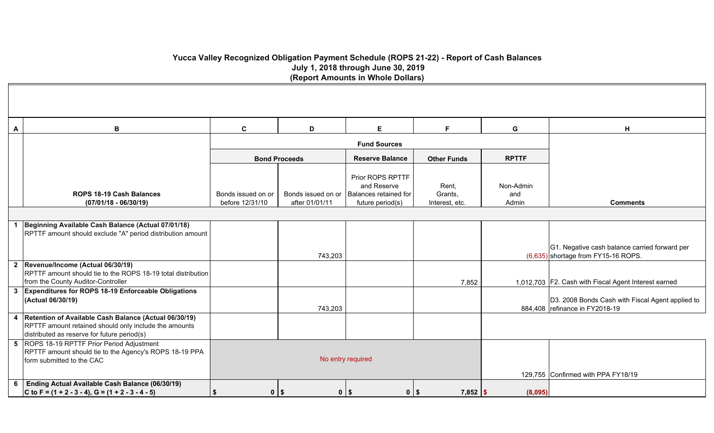# **Yucca Valley Recognized Obligation Payment Schedule (ROPS 21-22) - Report of Cash Balances July 1, 2018 through June 30, 2019 (Report Amounts in Whole Dollars)**

| $\boldsymbol{\mathsf{A}}$ | B                                                                                                                                                             | C                                     | D                    | E.                                                                                                | F                                  | G                                  | H                                                                                    |
|---------------------------|---------------------------------------------------------------------------------------------------------------------------------------------------------------|---------------------------------------|----------------------|---------------------------------------------------------------------------------------------------|------------------------------------|------------------------------------|--------------------------------------------------------------------------------------|
|                           |                                                                                                                                                               |                                       |                      | <b>Fund Sources</b>                                                                               |                                    |                                    |                                                                                      |
|                           |                                                                                                                                                               |                                       | <b>Bond Proceeds</b> | <b>Reserve Balance</b>                                                                            | <b>Other Funds</b>                 | <b>RPTTF</b>                       |                                                                                      |
|                           | <b>ROPS 18-19 Cash Balances</b><br>$(07/01/18 - 06/30/19)$                                                                                                    | Bonds issued on or<br>before 12/31/10 | after 01/01/11       | Prior ROPS RPTTF<br>and Reserve<br>Bonds issued on or   Balances retained for<br>future period(s) | Rent,<br>Grants,<br>Interest, etc. | Non-Admin<br>and<br>Admin          | <b>Comments</b>                                                                      |
|                           |                                                                                                                                                               |                                       |                      |                                                                                                   |                                    |                                    |                                                                                      |
|                           | Beginning Available Cash Balance (Actual 07/01/18)<br>RPTTF amount should exclude "A" period distribution amount                                              |                                       |                      |                                                                                                   |                                    |                                    | G1. Negative cash balance carried forward per                                        |
|                           | 2 Revenue/Income (Actual 06/30/19)                                                                                                                            |                                       | 743,203              |                                                                                                   |                                    |                                    | (6,635) shortage from FY15-16 ROPS.                                                  |
|                           | RPTTF amount should tie to the ROPS 18-19 total distribution<br>from the County Auditor-Controller                                                            |                                       |                      |                                                                                                   | 7,852                              |                                    | 1,012,703   F2. Cash with Fiscal Agent Interest earned                               |
|                           | 3 Expenditures for ROPS 18-19 Enforceable Obligations<br>(Actual 06/30/19)                                                                                    |                                       | 743,203              |                                                                                                   |                                    |                                    | D3. 2008 Bonds Cash with Fiscal Agent applied to<br>884,408   refinance in FY2018-19 |
| 4                         | Retention of Available Cash Balance (Actual 06/30/19)<br>RPTTF amount retained should only include the amounts<br>distributed as reserve for future period(s) |                                       |                      |                                                                                                   |                                    |                                    |                                                                                      |
|                           | 5 ROPS 18-19 RPTTF Prior Period Adjustment<br>RPTTF amount should tie to the Agency's ROPS 18-19 PPA<br>form submitted to the CAC                             |                                       |                      | No entry required                                                                                 |                                    | 129,755 Confirmed with PPA FY18/19 |                                                                                      |
| 6                         | Ending Actual Available Cash Balance (06/30/19)<br>C to F = $(1 + 2 - 3 - 4)$ , G = $(1 + 2 - 3 - 4 - 5)$                                                     | $0$   \$<br>\$                        |                      | $0$   \$<br>$0$   \$                                                                              | $7,852$ \$                         | (8,095)                            |                                                                                      |